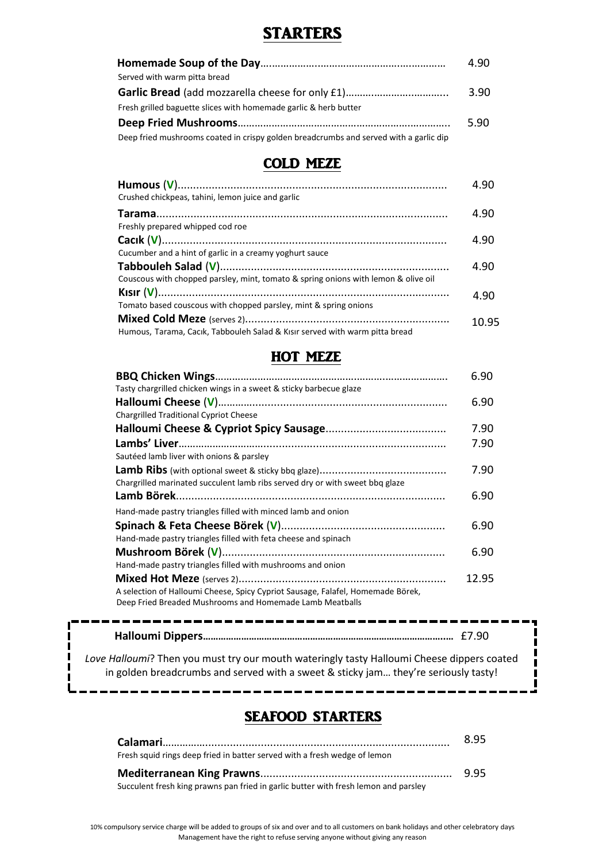## STARTERS

|                                                                                       | 4.90 |
|---------------------------------------------------------------------------------------|------|
| Served with warm pitta bread                                                          |      |
|                                                                                       | 3.90 |
| Fresh grilled baguette slices with homemade garlic & herb butter                      |      |
|                                                                                       | 5.90 |
| Deep fried mushrooms coated in crispy golden breadcrumbs and served with a garlic dip |      |

# COLD MEZE

| Crushed chickpeas, tahini, lemon juice and garlic                                  | 4.90  |
|------------------------------------------------------------------------------------|-------|
| Freshly prepared whipped cod roe                                                   | 4.90  |
|                                                                                    | 4.90  |
| Cucumber and a hint of garlic in a creamy yoghurt sauce                            |       |
|                                                                                    | 4.90  |
| Couscous with chopped parsley, mint, tomato & spring onions with lemon & olive oil |       |
|                                                                                    | 4.90  |
| Tomato based couscous with chopped parsley, mint & spring onions                   |       |
|                                                                                    | 10.95 |
| Humous, Tarama, Cacik, Tabbouleh Salad & Kisir served with warm pitta bread        |       |

#### HOT MEZE

|                                                                                 | 6.90  |
|---------------------------------------------------------------------------------|-------|
| Tasty chargrilled chicken wings in a sweet & sticky barbecue glaze              |       |
|                                                                                 | 6.90  |
| <b>Chargrilled Traditional Cypriot Cheese</b>                                   |       |
|                                                                                 | 7.90  |
|                                                                                 | 7.90  |
| Sautéed lamb liver with onions & parsley                                        |       |
|                                                                                 | 7.90  |
| Chargrilled marinated succulent lamb ribs served dry or with sweet bbq glaze    |       |
|                                                                                 | 6.90  |
| Hand-made pastry triangles filled with minced lamb and onion                    |       |
|                                                                                 | 6.90  |
| Hand-made pastry triangles filled with feta cheese and spinach                  |       |
|                                                                                 | 6.90  |
| Hand-made pastry triangles filled with mushrooms and onion                      |       |
|                                                                                 | 12.95 |
| A selection of Halloumi Cheese, Spicy Cypriot Sausage, Falafel, Homemade Börek, |       |
| Deep Fried Breaded Mushrooms and Homemade Lamb Meatballs                        |       |

| Love Halloumi? Then you must try our mouth wateringly tasty Halloumi Cheese dippers coated |  |
|--------------------------------------------------------------------------------------------|--|
| in golden breadcrumbs and served with a sweet & sticky jam they're seriously tasty!        |  |

----

----------------

÷

## SEAFOOD STARTERS

|                                                                                     | 8.95 |
|-------------------------------------------------------------------------------------|------|
| Fresh squid rings deep fried in batter served with a fresh wedge of lemon           |      |
|                                                                                     |      |
| Succulent fresh king prawns pan fried in garlic butter with fresh lemon and parsley |      |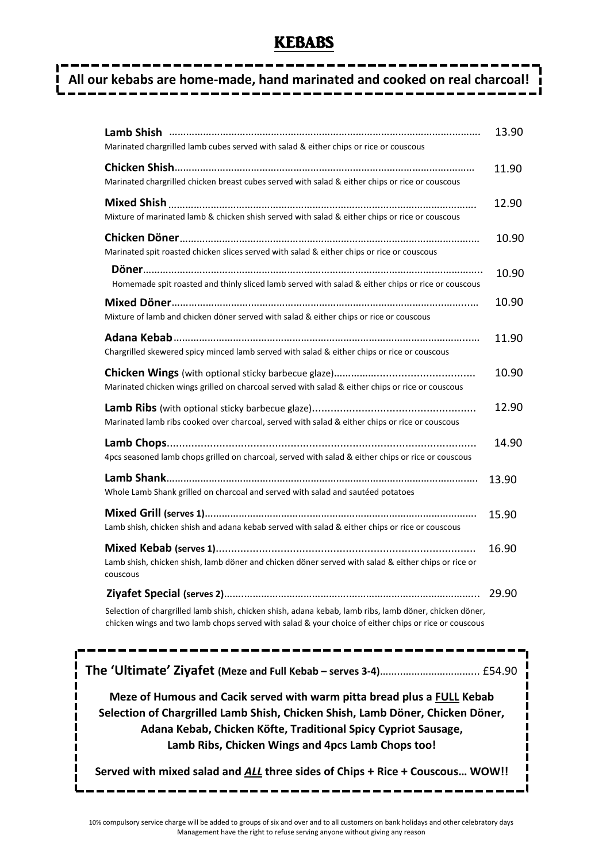## **KEBABS**

# **All our kebabs are home-made, hand marinated and cooked on real charcoal!**

| Marinated chargrilled lamb cubes served with salad & either chips or rice or couscous                                                                                                                                                                                            | 13.90 |  |
|----------------------------------------------------------------------------------------------------------------------------------------------------------------------------------------------------------------------------------------------------------------------------------|-------|--|
| Marinated chargrilled chicken breast cubes served with salad & either chips or rice or couscous                                                                                                                                                                                  | 11.90 |  |
| Mixture of marinated lamb & chicken shish served with salad & either chips or rice or couscous                                                                                                                                                                                   | 12.90 |  |
| Marinated spit roasted chicken slices served with salad & either chips or rice or couscous                                                                                                                                                                                       | 10.90 |  |
| Homemade spit roasted and thinly sliced lamb served with salad & either chips or rice or couscous                                                                                                                                                                                | 10.90 |  |
| Mixture of lamb and chicken döner served with salad & either chips or rice or couscous                                                                                                                                                                                           | 10.90 |  |
| Chargrilled skewered spicy minced lamb served with salad & either chips or rice or couscous                                                                                                                                                                                      | 11.90 |  |
| Marinated chicken wings grilled on charcoal served with salad & either chips or rice or couscous                                                                                                                                                                                 | 10.90 |  |
| Marinated lamb ribs cooked over charcoal, served with salad & either chips or rice or couscous                                                                                                                                                                                   | 12.90 |  |
| 4pcs seasoned lamb chops grilled on charcoal, served with salad & either chips or rice or couscous                                                                                                                                                                               | 14.90 |  |
| Whole Lamb Shank grilled on charcoal and served with salad and sautéed potatoes                                                                                                                                                                                                  | 13.90 |  |
| Lamb shish, chicken shish and adana kebab served with salad & either chips or rice or couscous                                                                                                                                                                                   | 15.90 |  |
| Lamb shish, chicken shish, lamb döner and chicken döner served with salad & either chips or rice or<br>couscous                                                                                                                                                                  | 16.90 |  |
| Selection of chargrilled lamb shish, chicken shish, adana kebab, lamb ribs, lamb döner, chicken döner,<br>chicken wings and two lamb chops served with salad & your choice of either chips or rice or couscous                                                                   | 29.90 |  |
|                                                                                                                                                                                                                                                                                  |       |  |
| Meze of Humous and Cacik served with warm pitta bread plus a FULL Kebab<br>Selection of Chargrilled Lamb Shish, Chicken Shish, Lamb Döner, Chicken Döner,<br>Adana Kebab, Chicken Köfte, Traditional Spicy Cypriot Sausage,<br>Lamb Ribs, Chicken Wings and 4pcs Lamb Chops too! |       |  |
| Served with mixed salad and ALL three sides of Chips + Rice + Couscous WOW!!                                                                                                                                                                                                     |       |  |

П

П п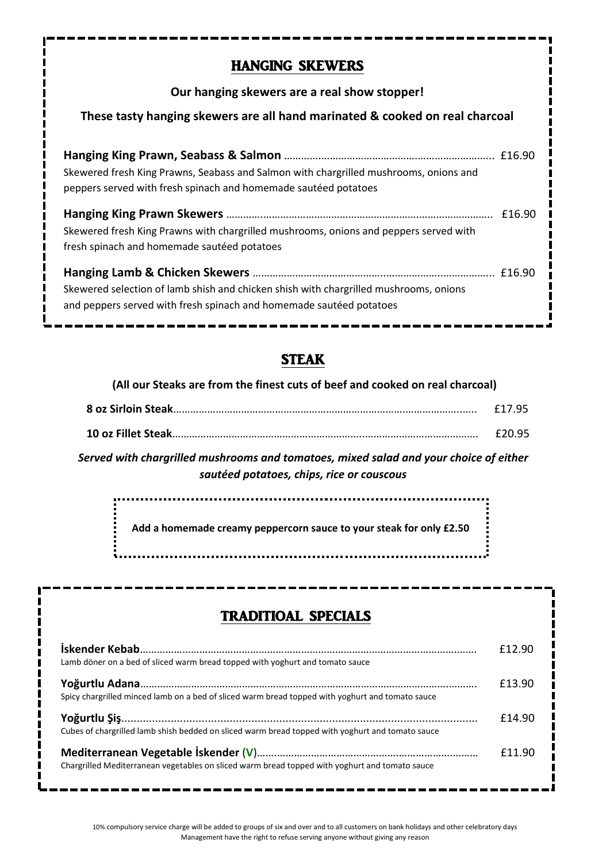## HANGING SKEWERS

#### **Our hanging skewers are a real show stopper!**

#### **These tasty hanging skewers are all hand marinated & cooked on real charcoal**

| Skewered fresh King Prawns, Seabass and Salmon with chargrilled mushrooms, onions and<br>peppers served with fresh spinach and homemade sautéed potatoes     |  |
|--------------------------------------------------------------------------------------------------------------------------------------------------------------|--|
| Skewered fresh King Prawns with chargrilled mushrooms, onions and peppers served with<br>fresh spinach and homemade sautéed potatoes                         |  |
| Skewered selection of lamb shish and chicken shish with chargrilled mushrooms, onions<br>and peppers served with fresh spinach and homemade sautéed potatoes |  |

# STEAK

#### **(All our Steaks are from the finest cuts of beef and cooked on real charcoal)**

|--|--|

|--|--|

*Served with chargrilled mushrooms and tomatoes, mixed salad and your choice of either sautéed potatoes, chips, rice or couscous*

<u>. . . . . . . . . . . . . . . . .</u> **Add a homemade creamy peppercorn sauce to your steak for only £2.50**

# TRADITIOAL SPECIALS

| Lamb döner on a bed of sliced warm bread topped with yoghurt and tomato sauce                    | £12.90 |
|--------------------------------------------------------------------------------------------------|--------|
| Spicy chargrilled minced lamb on a bed of sliced warm bread topped with yoghurt and tomato sauce | £13.90 |
| Cubes of chargrilled lamb shish bedded on sliced warm bread topped with yoghurt and tomato sauce | £14.90 |
| Chargrilled Mediterranean vegetables on sliced warm bread topped with yoghurt and tomato sauce   | £11.90 |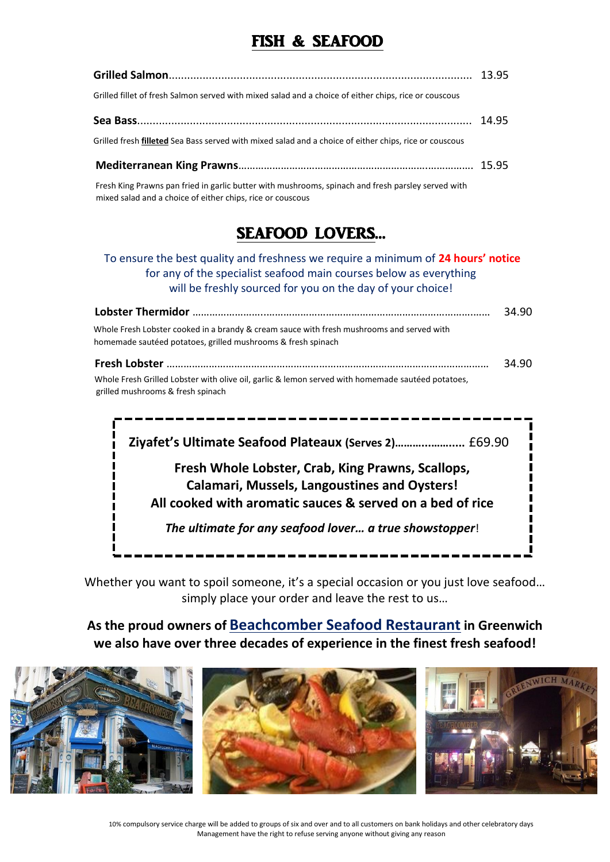# FISH & SEAFOOD

| Grilled fillet of fresh Salmon served with mixed salad and a choice of either chips, rice or couscous  |  |
|--------------------------------------------------------------------------------------------------------|--|
|                                                                                                        |  |
| Grilled fresh filleted Sea Bass served with mixed salad and a choice of either chips, rice or couscous |  |
|                                                                                                        |  |
| Fresh King Prawns pan fried in garlic butter with mushrooms, spinach and fresh parsley served with     |  |

Fresh King Prawns pan fried in garlic butter with mushrooms, spinach and fresh parsley served with .mixed salad and a choice of either chips, rice or couscous

# SEAFOOD LOVERS…

#### To ensure the best quality and freshness we require a minimum of **24 hours' notice** for any of the specialist seafood main courses below as everything will be freshly sourced for you on the day of your choice!

| Lobster Thermidor ………………………………………………………………………………………                                                                                                       | 34.90 |
|-----------------------------------------------------------------------------------------------------------------------------------------------------------|-------|
| Whole Fresh Lobster cooked in a brandy & cream sauce with fresh mushrooms and served with<br>homemade sautéed potatoes, grilled mushrooms & fresh spinach |       |
|                                                                                                                                                           | 34.90 |
| Whole Fresh Grilled Lobster with olive oil, garlic & lemon served with homemade sautéed potatoes,<br>grilled mushrooms & fresh spinach                    |       |

 **Ziyafet's Ultimate Seafood Plateaux (Serves 2)………...…….....** £69.90 **Fresh Whole Lobster, Crab, King Prawns, Scallops, Calamari, Mussels, Langoustines and Oysters! All cooked with aromatic sauces & served on a bed of rice**  *The ultimate for any seafood lover… a true showstopper*!

Whether you want to spoil someone, it's a special occasion or you just love seafood... simply place your order and leave the rest to us…

### **As the proud owners of Beachcomber Seafood Restaurant in Greenwich we also have over three decades of experience in the finest fresh seafood!**

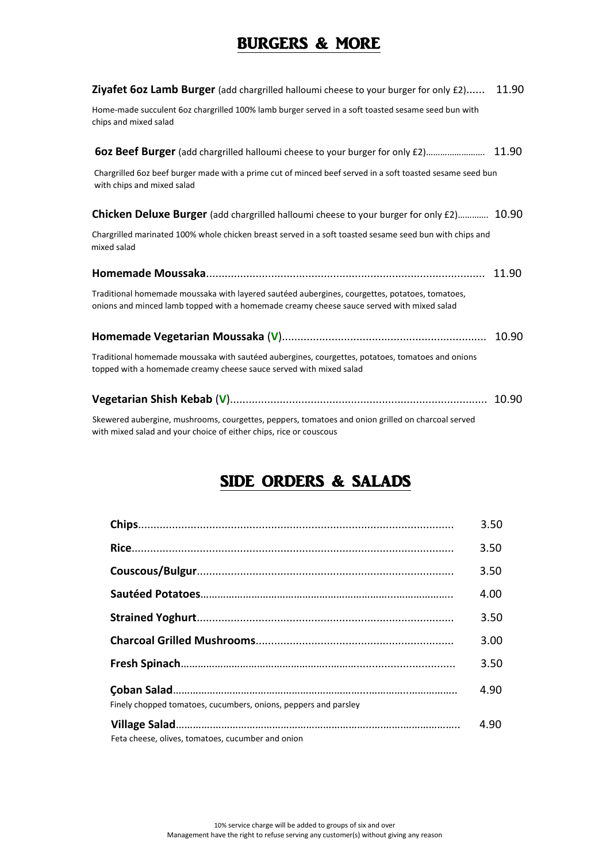# BURGERS & MORE

| <b>Ziyafet 60z Lamb Burger</b> (add chargrilled halloumi cheese to your burger for only £2)                                                                                                 | 11.90 |
|---------------------------------------------------------------------------------------------------------------------------------------------------------------------------------------------|-------|
| Home-made succulent 6oz chargrilled 100% lamb burger served in a soft toasted sesame seed bun with<br>chips and mixed salad                                                                 |       |
|                                                                                                                                                                                             |       |
| Chargrilled 60z beef burger made with a prime cut of minced beef served in a soft toasted sesame seed bun<br>with chips and mixed salad                                                     |       |
| <b>Chicken Deluxe Burger</b> (add chargrilled halloumi cheese to your burger for only £2) 10.90                                                                                             |       |
| Chargrilled marinated 100% whole chicken breast served in a soft toasted sesame seed bun with chips and<br>mixed salad                                                                      |       |
|                                                                                                                                                                                             | 11.90 |
| Traditional homemade moussaka with layered sautéed aubergines, courgettes, potatoes, tomatoes,<br>onions and minced lamb topped with a homemade creamy cheese sauce served with mixed salad |       |
|                                                                                                                                                                                             | 10.90 |
| Traditional homemade moussaka with sautéed aubergines, courgettes, potatoes, tomatoes and onions<br>topped with a homemade creamy cheese sauce served with mixed salad                      |       |
|                                                                                                                                                                                             |       |
| Skewered aubergine, mushrooms, courgettes, peppers, tomatoes and onion grilled on charcoal served<br>with mixed salad and your choice of either chips, rice or couscous                     |       |

# SIDE ORDERS & SALADS

|                                                                 | 3.50 |
|-----------------------------------------------------------------|------|
|                                                                 | 3.50 |
|                                                                 | 3.50 |
|                                                                 | 4.00 |
|                                                                 | 3.50 |
|                                                                 | 3.00 |
|                                                                 | 3.50 |
| Finely chopped tomatoes, cucumbers, onions, peppers and parsley | 4.90 |
| Feta cheese, olives, tomatoes, cucumber and onion               | 4.90 |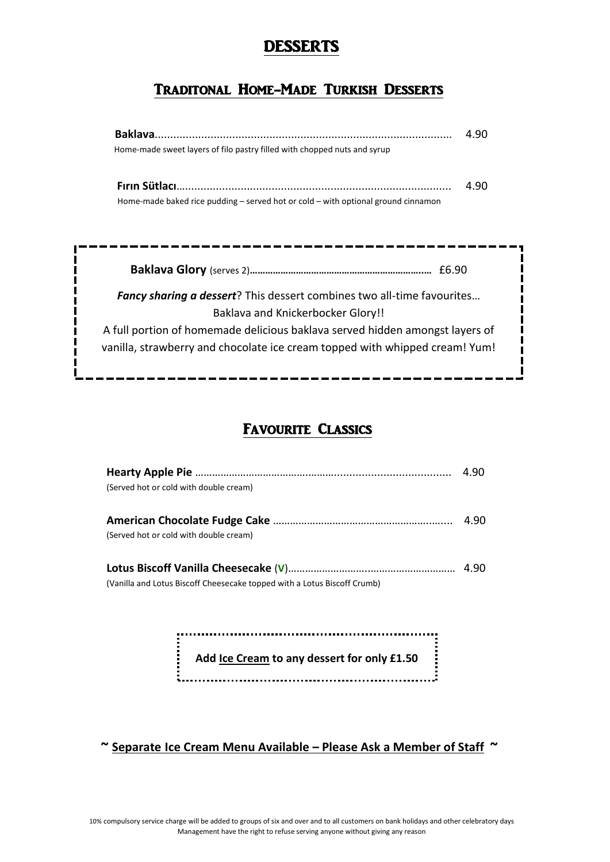# DESSERTS

### Traditonal Home-Made Turkish Desserts

| <b>Baklava</b>                                                                        | 4 QN |
|---------------------------------------------------------------------------------------|------|
| Home-made sweet layers of filo pastry filled with chopped nuts and syrup              |      |
|                                                                                       | 4.90 |
| Home-made baked rice pudding $-$ served hot or cold $-$ with optional ground cinnamon |      |
|                                                                                       |      |
|                                                                                       |      |
|                                                                                       |      |
|                                                                                       |      |
| <b>Fancy sharing a dessert</b> ? This dessert combines two all-time favourites        |      |
| <b>Baklava and Knickerbocker Glory!!</b>                                              |      |
| A full portion of homemade delicious baklava served hidden amongst layers of          |      |

### FAVOURITE CLASSICS

| (Served hot or cold with double cream)                                   |      |
|--------------------------------------------------------------------------|------|
|                                                                          |      |
|                                                                          | 4.90 |
| (Served hot or cold with double cream)                                   |      |
|                                                                          |      |
|                                                                          |      |
| (Vanilla and Lotus Biscoff Cheesecake topped with a Lotus Biscoff Crumb) |      |

Ì  **Add Ice Cream to any dessert for only £1.50** 

 **~ Separate Ice Cream Menu Available – Please Ask a Member of Staff ~**